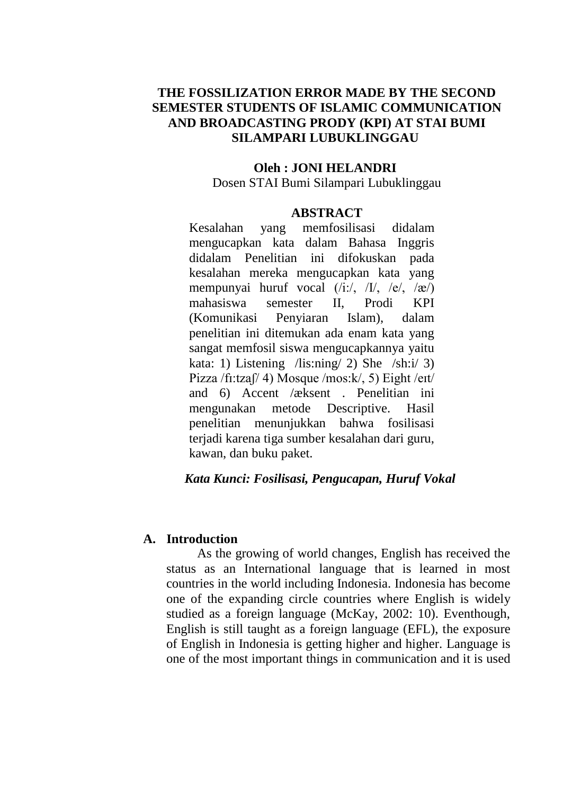# **THE FOSSILIZATION ERROR MADE BY THE SECOND SEMESTER STUDENTS OF ISLAMIC COMMUNICATION AND BROADCASTING PRODY (KPI) AT STAI BUMI SILAMPARI LUBUKLINGGAU**

#### **Oleh : JONI HELANDRI**

Dosen STAI Bumi Silampari Lubuklinggau

#### **ABSTRACT**

Kesalahan yang memfosilisasi didalam mengucapkan kata dalam Bahasa Inggris didalam Penelitian ini difokuskan pada kesalahan mereka mengucapkan kata yang mempunyai huruf vocal (/i:/, /I/, /e/, /ӕ/) mahasiswa semester II, Prodi KPI (Komunikasi Penyiaran Islam), dalam penelitian ini ditemukan ada enam kata yang sangat memfosil siswa mengucapkannya yaitu kata: 1) Listening /lis:ning/ 2) She /sh:i/ 3) Pizza /fi:tzaf/ 4) Mosque /mos:k/, 5) Eight /eɪt/ and 6) Accent /æksent . Penelitian ini mengunakan metode Descriptive. Hasil penelitian menunjukkan bahwa fosilisasi terjadi karena tiga sumber kesalahan dari guru, kawan, dan buku paket.

### *Kata Kunci: Fosilisasi, Pengucapan, Huruf Vokal*

#### **A. Introduction**

As the growing of world changes, English has received the status as an International language that is learned in most countries in the world including Indonesia. Indonesia has become one of the expanding circle countries where English is widely studied as a foreign language (McKay, 2002: 10). Eventhough, English is still taught as a foreign language (EFL), the exposure of English in Indonesia is getting higher and higher. Language is one of the most important things in communication and it is used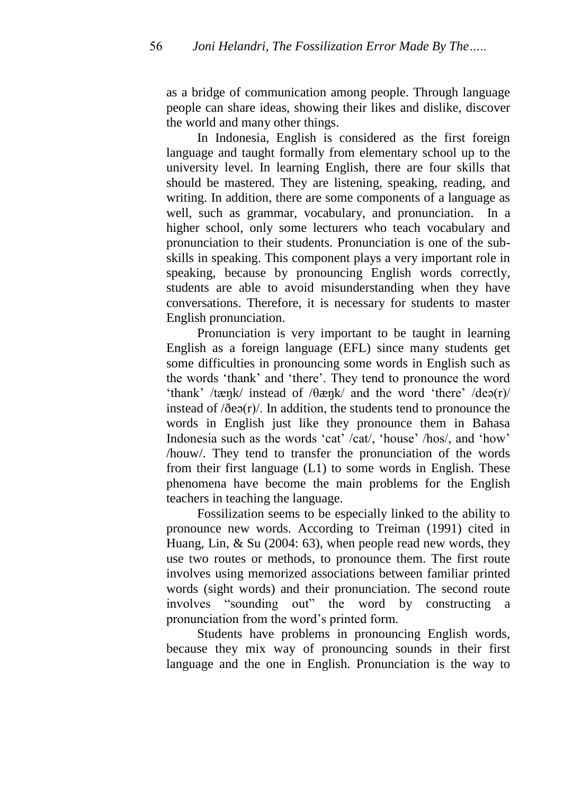as a bridge of communication among people. Through language people can share ideas, showing their likes and dislike, discover the world and many other things.

In Indonesia, English is considered as the first foreign language and taught formally from elementary school up to the university level. In learning English, there are four skills that should be mastered. They are listening, speaking, reading, and writing. In addition, there are some components of a language as well, such as grammar, vocabulary, and pronunciation. In a higher school, only some lecturers who teach vocabulary and pronunciation to their students. Pronunciation is one of the subskills in speaking. This component plays a very important role in speaking, because by pronouncing English words correctly, students are able to avoid misunderstanding when they have conversations. Therefore, it is necessary for students to master English pronunciation.

Pronunciation is very important to be taught in learning English as a foreign language (EFL) since many students get some difficulties in pronouncing some words in English such as the words "thank" and "there". They tend to pronounce the word "thank" /tæŋk/ instead of /θæŋk/ and the word "there" /deə(r)/ instead of  $\delta$ eə(r). In addition, the students tend to pronounce the words in English just like they pronounce them in Bahasa Indonesia such as the words 'cat' /cat/, 'house' /hos/, and 'how' /houw/. They tend to transfer the pronunciation of the words from their first language (L1) to some words in English. These phenomena have become the main problems for the English teachers in teaching the language.

Fossilization seems to be especially linked to the ability to pronounce new words. According to Treiman (1991) cited in Huang, Lin, & Su (2004: 63), when people read new words, they use two routes or methods, to pronounce them. The first route involves using memorized associations between familiar printed words (sight words) and their pronunciation. The second route involves "sounding out" the word by constructing a pronunciation from the word"s printed form.

Students have problems in pronouncing English words, because they mix way of pronouncing sounds in their first language and the one in English. Pronunciation is the way to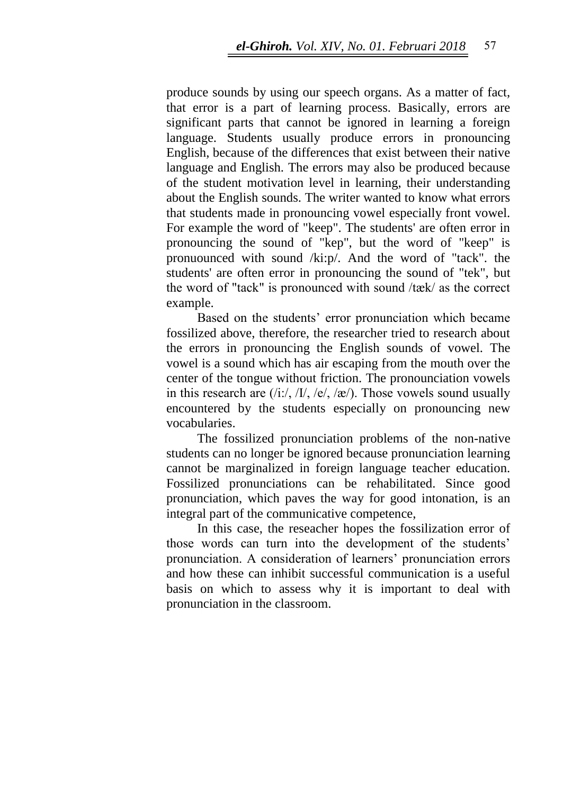produce sounds by using our speech organs. As a matter of fact, that error is a part of learning process. Basically, errors are significant parts that cannot be ignored in learning a foreign language. Students usually produce errors in pronouncing English, because of the differences that exist between their native language and English. The errors may also be produced because of the student motivation level in learning, their understanding about the English sounds. The writer wanted to know what errors that students made in pronouncing vowel especially front vowel. For example the word of "keep". The students' are often error in pronouncing the sound of "kep", but the word of "keep" is pronuounced with sound /ki:p/. And the word of "tack". the students' are often error in pronouncing the sound of "tek", but the word of "tack" is pronounced with sound /tӕk/ as the correct example.

Based on the students' error pronunciation which became fossilized above, therefore, the researcher tried to research about the errors in pronouncing the English sounds of vowel. The vowel is a sound which has air escaping from the mouth over the center of the tongue without friction. The pronounciation vowels in this research are  $(i$ :/, /I/, /e/, /æ/). Those vowels sound usually encountered by the students especially on pronouncing new vocabularies.

The fossilized pronunciation problems of the non-native students can no longer be ignored because pronunciation learning cannot be marginalized in foreign language teacher education. Fossilized pronunciations can be rehabilitated. Since good pronunciation, which paves the way for good intonation, is an integral part of the communicative competence,

In this case, the reseacher hopes the fossilization error of those words can turn into the development of the students' pronunciation. A consideration of learners' pronunciation errors and how these can inhibit successful communication is a useful basis on which to assess why it is important to deal with pronunciation in the classroom.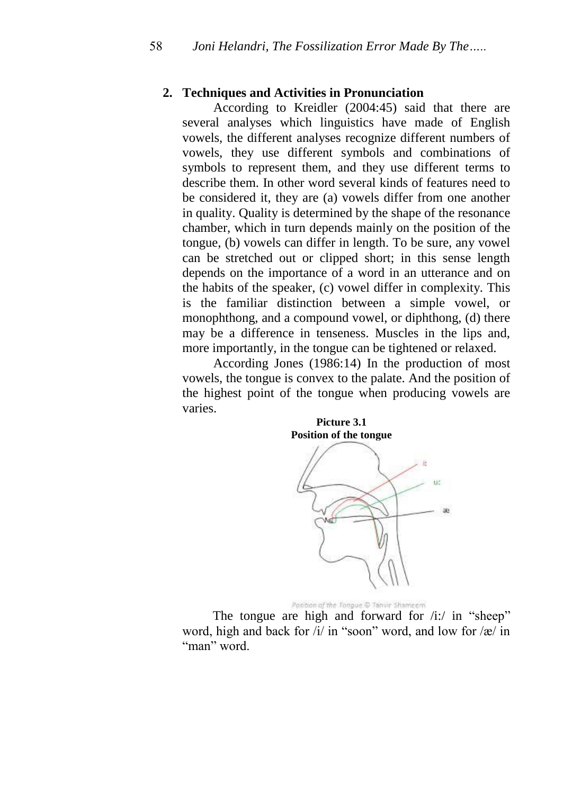### **2. Techniques and Activities in Pronunciation**

According to Kreidler (2004:45) said that there are several analyses which linguistics have made of English vowels, the different analyses recognize different numbers of vowels, they use different symbols and combinations of symbols to represent them, and they use different terms to describe them. In other word several kinds of features need to be considered it, they are (a) vowels differ from one another in quality. Quality is determined by the shape of the resonance chamber, which in turn depends mainly on the position of the tongue, (b) vowels can differ in length. To be sure, any vowel can be stretched out or clipped short; in this sense length depends on the importance of a word in an utterance and on the habits of the speaker, (c) vowel differ in complexity. This is the familiar distinction between a simple vowel, or monophthong, and a compound vowel, or diphthong, (d) there may be a difference in tenseness. Muscles in the lips and, more importantly, in the tongue can be tightened or relaxed.

According Jones (1986:14) In the production of most vowels, the tongue is convex to the palate. And the position of the highest point of the tongue when producing vowels are varies.



Position of the Tongue © Tanvir Shameem

The tongue are high and forward for  $/i$ :/ in "sheep" word, high and back for  $\frac{i}{i}$  in "soon" word, and low for  $\frac{1}{\alpha}$  in "man" word.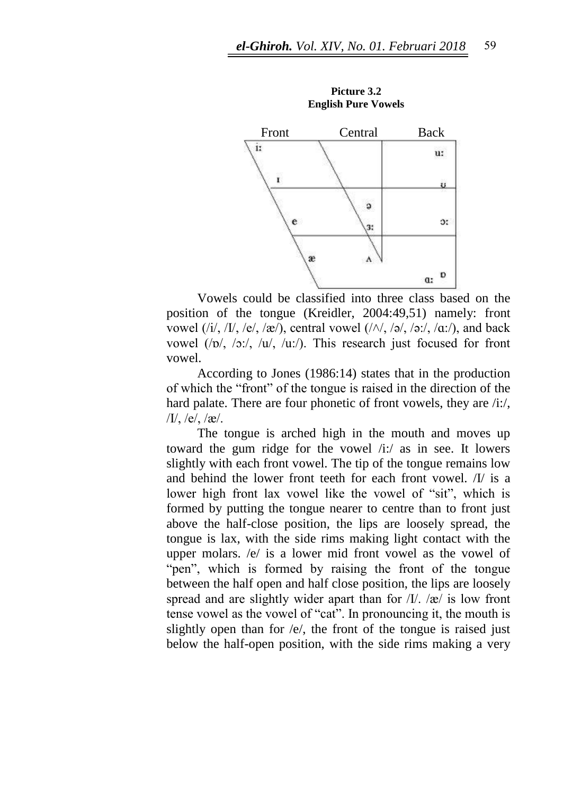

**Picture 3.2 English Pure Vowels**

Vowels could be classified into three class based on the position of the tongue (Kreidler, 2004:49,51) namely: front vowel  $(i/$ ,  $/I/$ ,  $/e/$ ,  $\alpha/$ ), central vowel  $(\land \land, \land \alpha, \land \alpha, \land \alpha, \land \alpha)$ , and back vowel (/ɒ/, /ɔ:/, /u/, /u:/). This research just focused for front vowel.

According to Jones (1986:14) states that in the production of which the "front" of the tongue is raised in the direction of the hard palate. There are four phonetic of front vowels, they are /i:/,  $/I/$ , /e/, /æ/.

The tongue is arched high in the mouth and moves up toward the gum ridge for the vowel /i:/ as in see. It lowers slightly with each front vowel. The tip of the tongue remains low and behind the lower front teeth for each front vowel. /I/ is a lower high front lax vowel like the vowel of "sit", which is formed by putting the tongue nearer to centre than to front just above the half-close position, the lips are loosely spread, the tongue is lax, with the side rims making light contact with the upper molars. /e/ is a lower mid front vowel as the vowel of "pen", which is formed by raising the front of the tongue between the half open and half close position, the lips are loosely spread and are slightly wider apart than for  $/I/$ . /æ/ is low front tense vowel as the vowel of "cat". In pronouncing it, the mouth is slightly open than for /e/, the front of the tongue is raised just below the half-open position, with the side rims making a very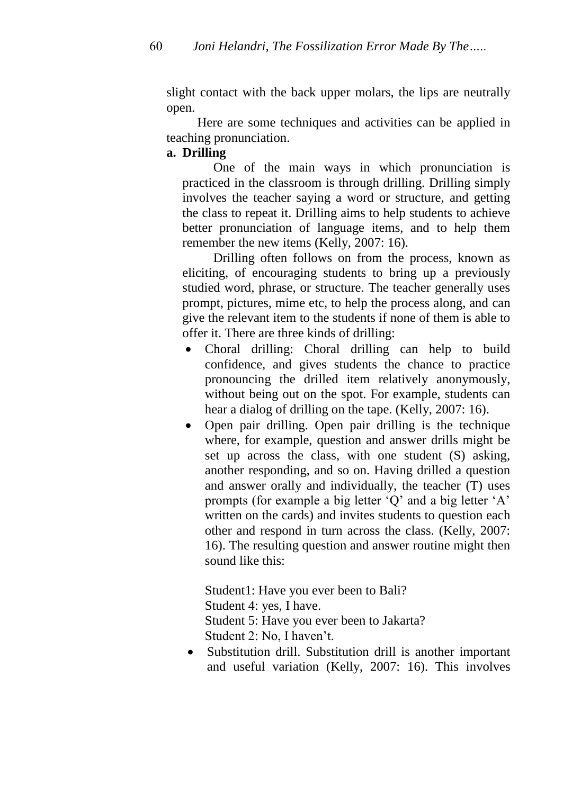slight contact with the back upper molars, the lips are neutrally open.

Here are some techniques and activities can be applied in teaching pronunciation.

## **a. Drilling**

One of the main ways in which pronunciation is practiced in the classroom is through drilling. Drilling simply involves the teacher saying a word or structure, and getting the class to repeat it. Drilling aims to help students to achieve better pronunciation of language items, and to help them remember the new items (Kelly, 2007: 16).

Drilling often follows on from the process, known as eliciting, of encouraging students to bring up a previously studied word, phrase, or structure. The teacher generally uses prompt, pictures, mime etc, to help the process along, and can give the relevant item to the students if none of them is able to offer it. There are three kinds of drilling:

- Choral drilling: Choral drilling can help to build confidence, and gives students the chance to practice pronouncing the drilled item relatively anonymously, without being out on the spot. For example, students can hear a dialog of drilling on the tape. (Kelly, 2007: 16).
- Open pair drilling. Open pair drilling is the technique where, for example, question and answer drills might be set up across the class, with one student (S) asking, another responding, and so on. Having drilled a question and answer orally and individually, the teacher (T) uses prompts (for example a big letter "Q" and a big letter "A" written on the cards) and invites students to question each other and respond in turn across the class. (Kelly, 2007: 16). The resulting question and answer routine might then sound like this:

Student1: Have you ever been to Bali? Student 4: yes, I have. Student 5: Have you ever been to Jakarta? Student 2: No, I haven't.

• Substitution drill. Substitution drill is another important and useful variation (Kelly, 2007: 16). This involves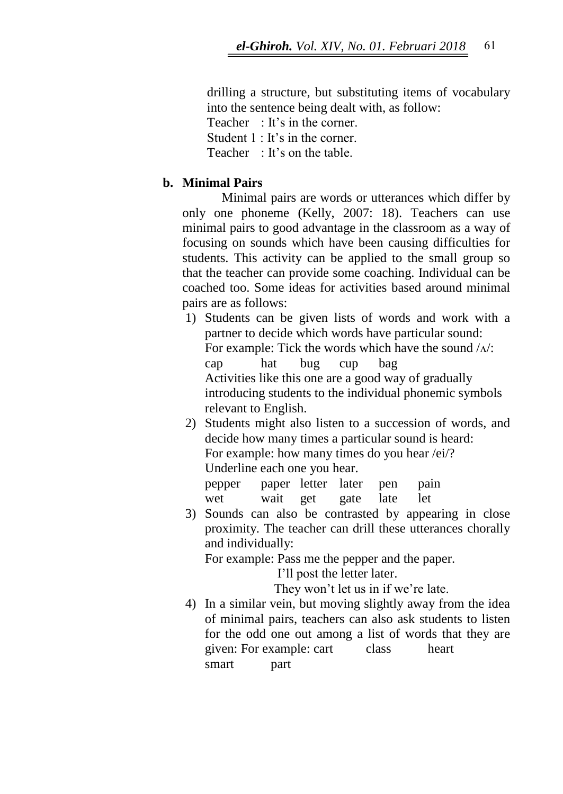drilling a structure, but substituting items of vocabulary into the sentence being dealt with, as follow:

Teacher : It's in the corner.

Student 1 : It's in the corner.

Teacher  $\cdot$  It's on the table.

### **b. Minimal Pairs**

Minimal pairs are words or utterances which differ by only one phoneme (Kelly, 2007: 18). Teachers can use minimal pairs to good advantage in the classroom as a way of focusing on sounds which have been causing difficulties for students. This activity can be applied to the small group so that the teacher can provide some coaching. Individual can be coached too. Some ideas for activities based around minimal pairs are as follows:

- 1) Students can be given lists of words and work with a partner to decide which words have particular sound: For example: Tick the words which have the sound  $\Delta$ : cap hat bug cup bag Activities like this one are a good way of gradually introducing students to the individual phonemic symbols relevant to English.
- 2) Students might also listen to a succession of words, and decide how many times a particular sound is heard: For example: how many times do you hear /ei/? Underline each one you hear. pepper paper letter later pen pain

wet wait get gate late let

3) Sounds can also be contrasted by appearing in close proximity. The teacher can drill these utterances chorally and individually:

For example: Pass me the pepper and the paper.

I"ll post the letter later.

They won't let us in if we're late.

4) In a similar vein, but moving slightly away from the idea of minimal pairs, teachers can also ask students to listen for the odd one out among a list of words that they are given: For example: cart class heart smart part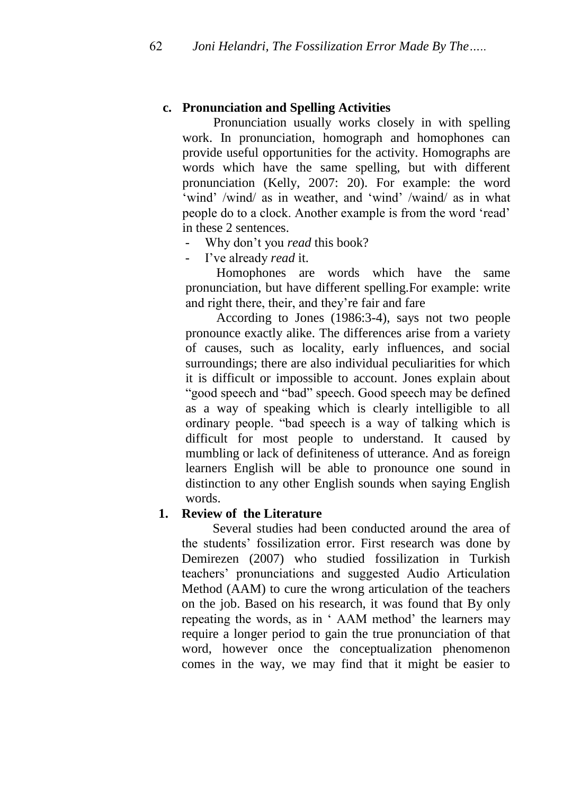### **c. Pronunciation and Spelling Activities**

Pronunciation usually works closely in with spelling work. In pronunciation, homograph and homophones can provide useful opportunities for the activity. Homographs are words which have the same spelling, but with different pronunciation (Kelly, 2007: 20). For example: the word 'wind' /wind/ as in weather, and 'wind' /waind/ as in what people do to a clock. Another example is from the word "read" in these 2 sentences.

- Why don"t you *read* this book?
- I've already *read* it.

Homophones are words which have the same pronunciation, but have different spelling.For example: write and right there, their, and they"re fair and fare

According to Jones (1986:3-4), says not two people pronounce exactly alike. The differences arise from a variety of causes, such as locality, early influences, and social surroundings; there are also individual peculiarities for which it is difficult or impossible to account. Jones explain about "good speech and "bad" speech. Good speech may be defined as a way of speaking which is clearly intelligible to all ordinary people. "bad speech is a way of talking which is difficult for most people to understand. It caused by mumbling or lack of definiteness of utterance. And as foreign learners English will be able to pronounce one sound in distinction to any other English sounds when saying English words.

#### **1. Review of the Literature**

Several studies had been conducted around the area of the students" fossilization error. First research was done by Demirezen (2007) who studied fossilization in Turkish teachers" pronunciations and suggested Audio Articulation Method (AAM) to cure the wrong articulation of the teachers on the job. Based on his research, it was found that By only repeating the words, as in 'AAM method' the learners may require a longer period to gain the true pronunciation of that word, however once the conceptualization phenomenon comes in the way, we may find that it might be easier to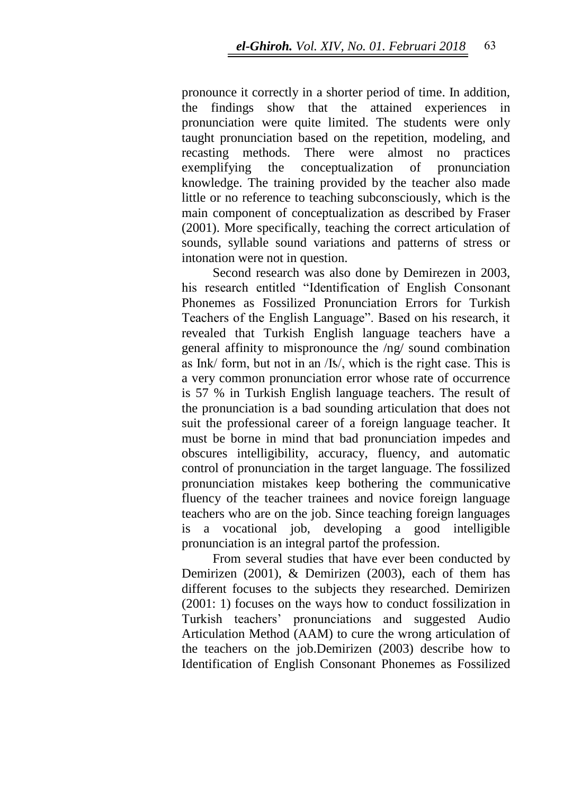pronounce it correctly in a shorter period of time. In addition, the findings show that the attained experiences pronunciation were quite limited. The students were only taught pronunciation based on the repetition, modeling, and recasting methods. There were almost no practices exemplifying the conceptualization of pronunciation knowledge. The training provided by the teacher also made little or no reference to teaching subconsciously, which is the main component of conceptualization as described by Fraser (2001). More specifically, teaching the correct articulation of sounds, syllable sound variations and patterns of stress or intonation were not in question.

Second research was also done by Demirezen in 2003, his research entitled "Identification of English Consonant Phonemes as Fossilized Pronunciation Errors for Turkish Teachers of the English Language". Based on his research, it revealed that Turkish English language teachers have a general affinity to mispronounce the /ng/ sound combination as Ink/ form, but not in an /I\s/, which is the right case. This is a very common pronunciation error whose rate of occurrence is 57 % in Turkish English language teachers. The result of the pronunciation is a bad sounding articulation that does not suit the professional career of a foreign language teacher. It must be borne in mind that bad pronunciation impedes and obscures intelligibility, accuracy, fluency, and automatic control of pronunciation in the target language. The fossilized pronunciation mistakes keep bothering the communicative fluency of the teacher trainees and novice foreign language teachers who are on the job. Since teaching foreign languages is a vocational job, developing a good intelligible pronunciation is an integral partof the profession.

From several studies that have ever been conducted by Demirizen (2001), & Demirizen (2003), each of them has different focuses to the subjects they researched. Demirizen (2001: 1) focuses on the ways how to conduct fossilization in Turkish teachers" pronunciations and suggested Audio Articulation Method (AAM) to cure the wrong articulation of the teachers on the job.Demirizen (2003) describe how to Identification of English Consonant Phonemes as Fossilized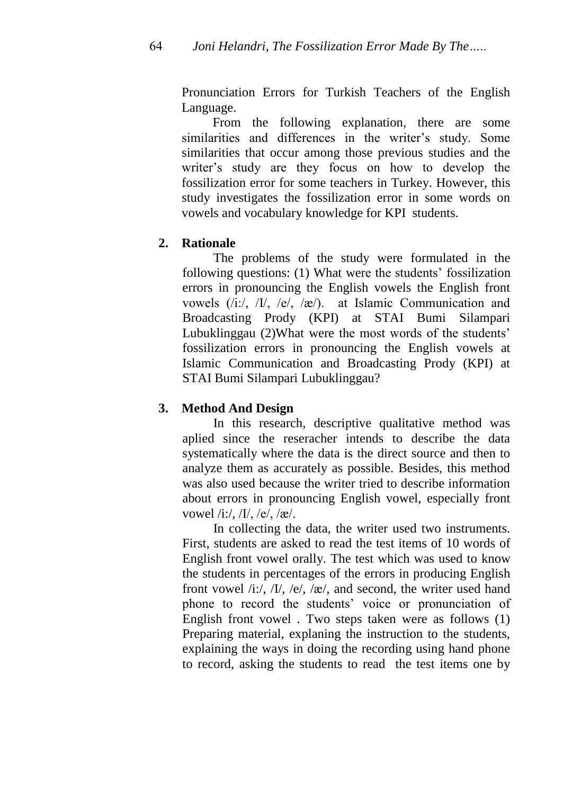Pronunciation Errors for Turkish Teachers of the English Language.

From the following explanation, there are some similarities and differences in the writer's study. Some similarities that occur among those previous studies and the writer's study are they focus on how to develop the fossilization error for some teachers in Turkey. However, this study investigates the fossilization error in some words on vowels and vocabulary knowledge for KPI students.

# **2. Rationale**

The problems of the study were formulated in the following questions: (1) What were the students' fossilization errors in pronouncing the English vowels the English front vowels (/i:/, /I/, /e/, /ӕ/). at Islamic Communication and Broadcasting Prody (KPI) at STAI Bumi Silampari Lubuklinggau (2)What were the most words of the students' fossilization errors in pronouncing the English vowels at Islamic Communication and Broadcasting Prody (KPI) at STAI Bumi Silampari Lubuklinggau?

# **3. Method And Design**

In this research, descriptive qualitative method was aplied since the reseracher intends to describe the data systematically where the data is the direct source and then to analyze them as accurately as possible. Besides, this method was also used because the writer tried to describe information about errors in pronouncing English vowel, especially front vowel /i:/, /I/, /e/, /æ/.

In collecting the data, the writer used two instruments. First, students are asked to read the test items of 10 words of English front vowel orally. The test which was used to know the students in percentages of the errors in producing English front vowel  $/i$ :/,  $/I$ ,  $/e$ ,  $/e$ ,  $/e$ , and second, the writer used hand phone to record the students' voice or pronunciation of English front vowel . Two steps taken were as follows (1) Preparing material, explaning the instruction to the students, explaining the ways in doing the recording using hand phone to record, asking the students to read the test items one by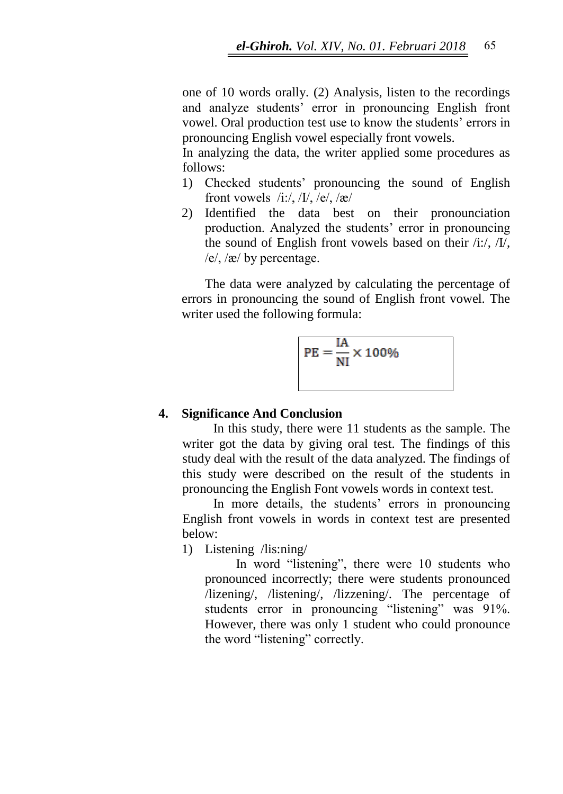one of 10 words orally. (2) Analysis, listen to the recordings and analyze students' error in pronouncing English front vowel. Oral production test use to know the students" errors in pronouncing English vowel especially front vowels.

In analyzing the data, the writer applied some procedures as follows:

- 1) Checked students" pronouncing the sound of English front vowels  $/i$ :/,  $/I/$ ,  $/e/$ ,  $/æ/$
- 2) Identified the data best on their pronounciation production. Analyzed the students" error in pronouncing the sound of English front vowels based on their /i:/, /I/,  $/e$ ,  $\alpha$  by percentage.

The data were analyzed by calculating the percentage of errors in pronouncing the sound of English front vowel. The writer used the following formula:

$$
PE = \frac{IA}{NI} \times 100\%
$$

### **4. Significance And Conclusion**

In this study, there were 11 students as the sample. The writer got the data by giving oral test. The findings of this study deal with the result of the data analyzed. The findings of this study were described on the result of the students in pronouncing the English Font vowels words in context test.

In more details, the students' errors in pronouncing English front vowels in words in context test are presented below:

1) Listening /lis:ning/

In word "listening", there were 10 students who pronounced incorrectly; there were students pronounced /lizening/, /listening/, /lizzening/. The percentage of students error in pronouncing "listening" was 91%. However, there was only 1 student who could pronounce the word "listening" correctly.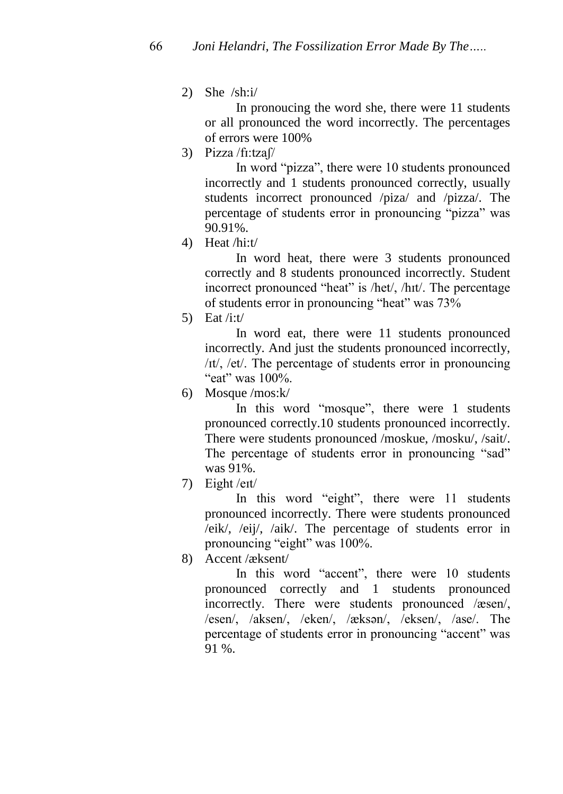2) She /sh:i/

In pronoucing the word she, there were 11 students or all pronounced the word incorrectly. The percentages of errors were 100%

3) Pizza /fɪ:tzaʃ/

In word "pizza", there were 10 students pronounced incorrectly and 1 students pronounced correctly, usually students incorrect pronounced /piza/ and /pizza/. The percentage of students error in pronouncing "pizza" was 90.91%.

4) Heat /hi:t/

In word heat, there were 3 students pronounced correctly and 8 students pronounced incorrectly. Student incorrect pronounced "heat" is /het/, /hɪt/. The percentage of students error in pronouncing "heat" was 73%

5) Eat  $/$ i:t $/$ 

In word eat, there were 11 students pronounced incorrectly. And just the students pronounced incorrectly, /ɪt/, /et/. The percentage of students error in pronouncing "eat" was 100%.

6) Mosque /mos:k/

In this word "mosque", there were 1 students pronounced correctly.10 students pronounced incorrectly. There were students pronounced /moskue, /mosku/, /sait/. The percentage of students error in pronouncing "sad" was 91%.

7) Eight /eɪt/

In this word "eight", there were 11 students pronounced incorrectly. There were students pronounced /eik/, /eij/, /aik/. The percentage of students error in pronouncing "eight" was 100%.

8) Accent /æksent/

In this word "accent", there were 10 students pronounced correctly and 1 students pronounced incorrectly. There were students pronounced /æsen/, /esen/, /aksen/, /eken/, /ӕksən/, /eksen/, /ase/. The percentage of students error in pronouncing "accent" was 91 %.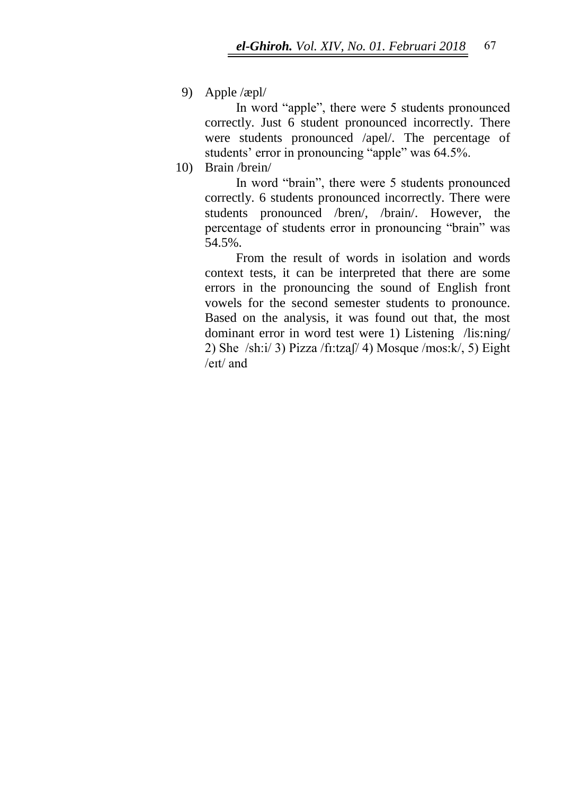9) Apple /æpl/

In word "apple", there were 5 students pronounced correctly. Just 6 student pronounced incorrectly. There were students pronounced /apel/. The percentage of students' error in pronouncing "apple" was 64.5%.

10) Brain /brein/

In word "brain", there were 5 students pronounced correctly. 6 students pronounced incorrectly. There were students pronounced /bren/, /brain/. However, the percentage of students error in pronouncing "brain" was 54.5%.

From the result of words in isolation and words context tests, it can be interpreted that there are some errors in the pronouncing the sound of English front vowels for the second semester students to pronounce. Based on the analysis, it was found out that, the most dominant error in word test were 1) Listening /lis:ning/ 2) She /sh: $i/ 3$ ) Pizza /fi:tzaf/ 4) Mosque /mos: $k/ 5$ ) Eight /eɪt/ and